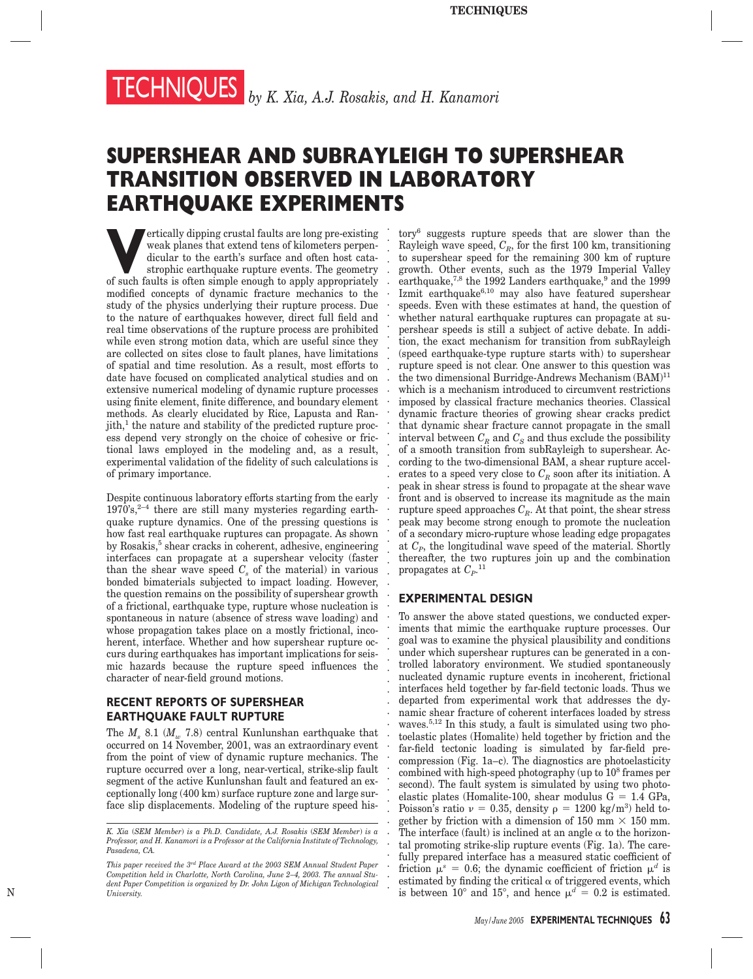# **SUPERSHEAR AND SUBRAYLEIGH TO SUPERSHEAR TRANSITION OBSERVED IN LABORATORY EARTHQUAKE EXPERIMENTS**

. . . . . . . . . . . . . . . . . . . . . . . . . . . . . . . . . . . . . . . . . . . . . . . . . . . . . . . . . . . . . .

ertically dipping crustal faults are long pre-existing<br>weak planes that extend tens of kilometers perpen-<br>dicular to the earth's surface and often host cata-<br>strophic earthquake rupture events. The geometry<br>of such faults weak planes that extend tens of kilometers perpendicular to the earth's surface and often host catastrophic earthquake rupture events. The geometry modified concepts of dynamic fracture mechanics to the study of the physics underlying their rupture process. Due to the nature of earthquakes however, direct full field and real time observations of the rupture process are prohibited while even strong motion data, which are useful since they are collected on sites close to fault planes, have limitations of spatial and time resolution. As a result, most efforts to date have focused on complicated analytical studies and on extensive numerical modeling of dynamic rupture processes using finite element, finite difference, and boundary element methods. As clearly elucidated by Rice, Lapusta and Ran $jith<sup>1</sup>$ , the nature and stability of the predicted rupture process depend very strongly on the choice of cohesive or frictional laws employed in the modeling and, as a result, experimental validation of the fidelity of such calculations is of primary importance.

Despite continuous laboratory efforts starting from the early  $1970's$ ,<sup>2-4</sup> there are still many mysteries regarding earthquake rupture dynamics. One of the pressing questions is how fast real earthquake ruptures can propagate. As shown by Rosakis,<sup>5</sup> shear cracks in coherent, adhesive, engineering interfaces can propagate at a supershear velocity (faster than the shear wave speed  $C_s$  of the material) in various bonded bimaterials subjected to impact loading. However, the question remains on the possibility of supershear growth of a frictional, earthquake type, rupture whose nucleation is spontaneous in nature (absence of stress wave loading) and whose propagation takes place on a mostly frictional, incoherent, interface. Whether and how supershear rupture occurs during earthquakes has important implications for seismic hazards because the rupture speed influences the character of near-field ground motions.

## **RECENT REPORTS OF SUPERSHEAR EARTHQUAKE FAULT RUPTURE**

N

The  $M_s$  8.1 ( $M_w$  7.8) central Kunlunshan earthquake that occurred on 14 November, 2001, was an extraordinary event from the point of view of dynamic rupture mechanics. The rupture occurred over a long, near-vertical, strike-slip fault segment of the active Kunlunshan fault and featured an exceptionally long (400 km) surface rupture zone and large surface slip displacements. Modeling of the rupture speed his-

tory6 suggests rupture speeds that are slower than the Rayleigh wave speed,  $C_R$ , for the first 100 km, transitioning to supershear speed for the remaining 300 km of rupture growth. Other events, such as the 1979 Imperial Valley earthquake,<sup>7,8</sup> the 1992 Landers earthquake,<sup>9</sup> and the 1999 Izmit earthquake $6,10$  may also have featured supershear speeds. Even with these estimates at hand, the question of whether natural earthquake ruptures can propagate at supershear speeds is still a subject of active debate. In addition, the exact mechanism for transition from subRayleigh (speed earthquake-type rupture starts with) to supershear rupture speed is not clear. One answer to this question was the two dimensional Burridge-Andrews Mechanism (BAM)<sup>11</sup> which is a mechanism introduced to circumvent restrictions imposed by classical fracture mechanics theories. Classical dynamic fracture theories of growing shear cracks predict that dynamic shear fracture cannot propagate in the small interval between  $C_R$  and  $C_S$  and thus exclude the possibility of a smooth transition from subRayleigh to supershear. According to the two-dimensional BAM, a shear rupture accelerates to a speed very close to  $C_R$  soon after its initiation. A peak in shear stress is found to propagate at the shear wave front and is observed to increase its magnitude as the main rupture speed approaches  $C_R$ . At that point, the shear stress peak may become strong enough to promote the nucleation of a secondary micro-rupture whose leading edge propagates at  $C_P$ , the longitudinal wave speed of the material. Shortly thereafter, the two ruptures join up and the combination propagates at  $C_{P}$ .<sup>11</sup>

## **EXPERIMENTAL DESIGN**

To answer the above stated questions, we conducted experiments that mimic the earthquake rupture processes. Our goal was to examine the physical plausibility and conditions under which supershear ruptures can be generated in a controlled laboratory environment. We studied spontaneously nucleated dynamic rupture events in incoherent, frictional interfaces held together by far-field tectonic loads. Thus we departed from experimental work that addresses the dynamic shear fracture of coherent interfaces loaded by stress waves.<sup>5,12</sup> In this study, a fault is simulated using two photoelastic plates (Homalite) held together by friction and the far-field tectonic loading is simulated by far-field precompression (Fig. 1a–c). The diagnostics are photoelasticity combined with high-speed photography (up to  $10^8$  frames per second). The fault system is simulated by using two photoelastic plates (Homalite-100, shear modulus  $G = 1.4 \text{ GPa}$ , Poisson's ratio  $\nu = 0.35$ , density  $\rho = 1200 \text{ kg/m}^3$  held together by friction with a dimension of 150 mm  $\times$  150 mm. The interface (fault) is inclined at an angle  $\alpha$  to the horizontal promoting strike-slip rupture events (Fig. 1a). The carefully prepared interface has a measured static coefficient of friction  $\mu^s = 0.6$ ; the dynamic coefficient of friction  $\mu^d$  is estimated by finding the critical  $\alpha$  of triggered events, which is between 10° and 15°, and hence  $\mu^{d} = 0.2$  is estimated.

*K. Xia* (*SEM Member*) *is a Ph.D. Candidate, A.J. Rosakis* (*SEM Member*) *is a Professor, and H. Kanamori is a Professor at the California Institute of Technology, Pasadena, CA.*

*This paper received the 3rd Place Award at the 2003 SEM Annual Student Paper Competition held in Charlotte, North Carolina, June 2–4, 2003. The annual Student Paper Competition is organized by Dr. John Ligon of Michigan Technological University.*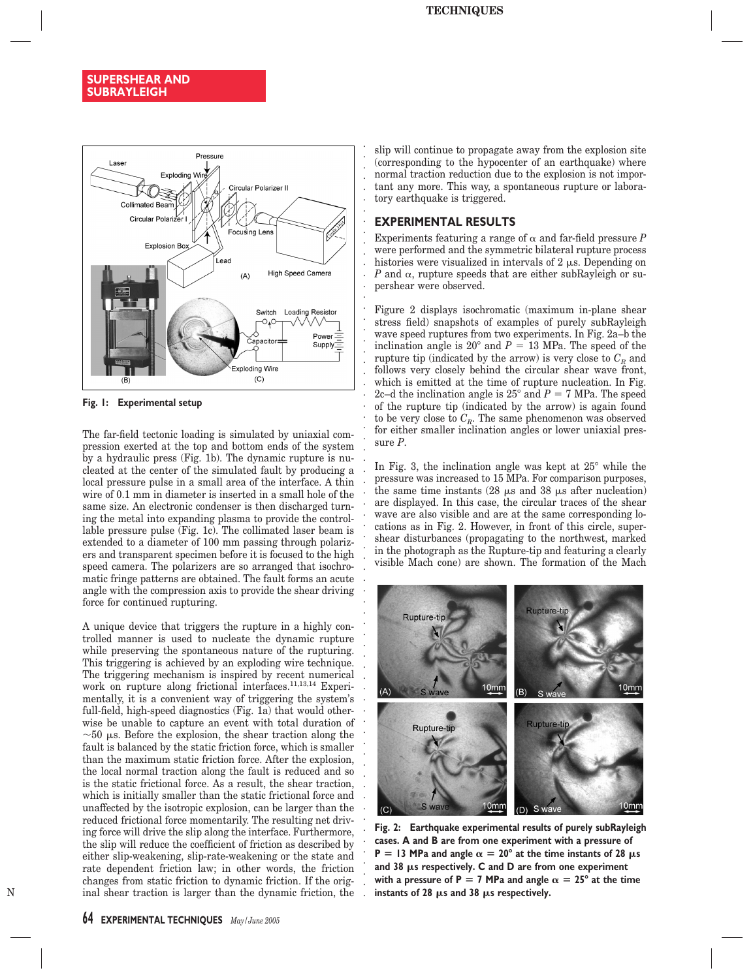#### **SUPERSHEAR AND SUBRAYLEIGH**



**Fig. 1: Experimental setup**

The far-field tectonic loading is simulated by uniaxial compression exerted at the top and bottom ends of the system by a hydraulic press (Fig. 1b). The dynamic rupture is nucleated at the center of the simulated fault by producing a local pressure pulse in a small area of the interface. A thin wire of 0.1 mm in diameter is inserted in a small hole of the same size. An electronic condenser is then discharged turning the metal into expanding plasma to provide the controllable pressure pulse (Fig. 1c). The collimated laser beam is extended to a diameter of 100 mm passing through polarizers and transparent specimen before it is focused to the high speed camera. The polarizers are so arranged that isochromatic fringe patterns are obtained. The fault forms an acute angle with the compression axis to provide the shear driving force for continued rupturing.

A unique device that triggers the rupture in a highly controlled manner is used to nucleate the dynamic rupture while preserving the spontaneous nature of the rupturing. This triggering is achieved by an exploding wire technique. The triggering mechanism is inspired by recent numerical work on rupture along frictional interfaces.11,13,14 Experimentally, it is a convenient way of triggering the system's full-field, high-speed diagnostics (Fig. 1a) that would otherwise be unable to capture an event with total duration of  $\sim$ 50  $\mu$ s. Before the explosion, the shear traction along the fault is balanced by the static friction force, which is smaller than the maximum static friction force. After the explosion, the local normal traction along the fault is reduced and so is the static frictional force. As a result, the shear traction, which is initially smaller than the static frictional force and unaffected by the isotropic explosion, can be larger than the reduced frictional force momentarily. The resulting net driving force will drive the slip along the interface. Furthermore, the slip will reduce the coefficient of friction as described by either slip-weakening, slip-rate-weakening or the state and rate dependent friction law; in other words, the friction changes from static friction to dynamic friction. If the original shear traction is larger than the dynamic friction, the

slip will continue to propagate away from the explosion site (corresponding to the hypocenter of an earthquake) where normal traction reduction due to the explosion is not important any more. This way, a spontaneous rupture or laboratory earthquake is triggered.

## **EXPERIMENTAL RESULTS**

. . . . . . . . . . . . . . . .

. . . . . . . Experiments featuring a range of  $\alpha$  and far-field pressure  $P$ were performed and the symmetric bilateral rupture process histories were visualized in intervals of  $2 \mu s$ . Depending on *P* and  $\alpha$ , rupture speeds that are either subRayleigh or supershear were observed.

Figure 2 displays isochromatic (maximum in-plane shear stress field) snapshots of examples of purely subRayleigh wave speed ruptures from two experiments. In Fig. 2a–b the inclination angle is  $20^{\circ}$  and  $P = 13$  MPa. The speed of the rupture tip (indicated by the arrow) is very close to  $C_R$  and follows very closely behind the circular shear wave front, which is emitted at the time of rupture nucleation. In Fig. 2c–d the inclination angle is  $25^{\circ}$  and  $P = 7$  MPa. The speed of the rupture tip (indicated by the arrow) is again found to be very close to  $C_R$ . The same phenomenon was observed for either smaller inclination angles or lower uniaxial pressure *P*.

In Fig. 3, the inclination angle was kept at  $25^{\circ}$  while the pressure was increased to 15 MPa. For comparison purposes, the same time instants  $(28 \mu s)$  and  $38 \mu s$  after nucleation) are displayed. In this case, the circular traces of the shear wave are also visible and are at the same corresponding locations as in Fig. 2. However, in front of this circle, supershear disturbances (propagating to the northwest, marked in the photograph as the Rupture-tip and featuring a clearly visible Mach cone) are shown. The formation of the Mach



**Fig. 2: Earthquake experimental results of purely subRayleigh cases. A and B are from one experiment with a pressure of P** = 13 MPa and angle  $\alpha$  = 20° at the time instants of 28  $\mu$ s and 38  $\mu$ s respectively. C and D are from one experiment with a pressure of  $P = 7$  MPa and angle  $\alpha = 25^{\circ}$  at the time instants of 28  $\mu$ s and 38  $\mu$ s respectively.

N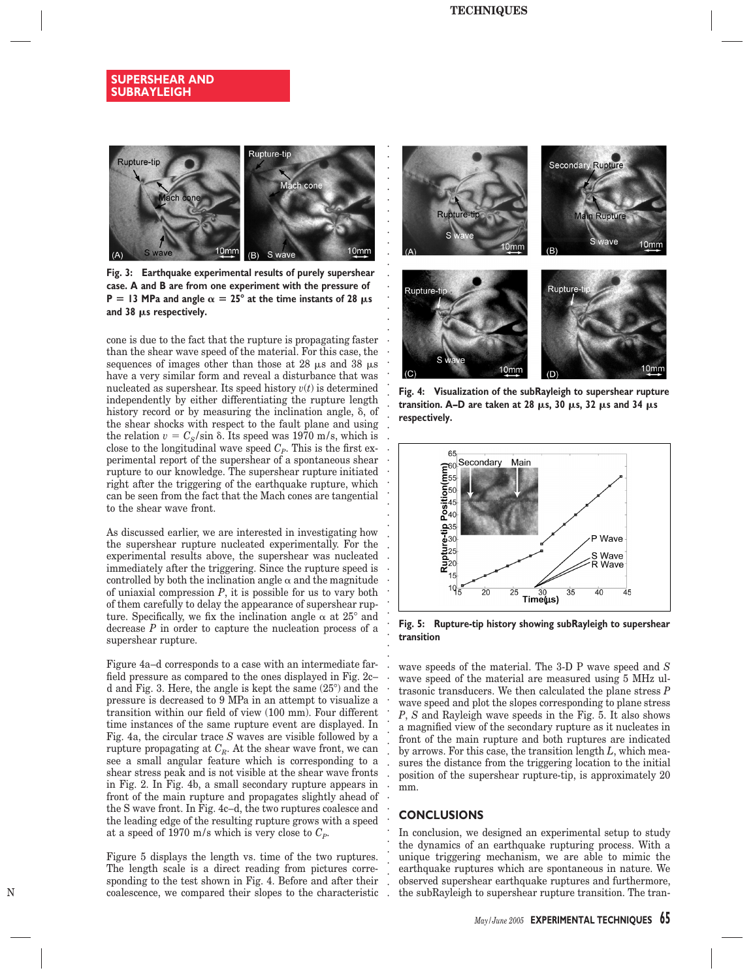## **SUPERSHEAR AND SUBRAYLEIGH**



**Fig. 3: Earthquake experimental results of purely supershear case. A and B are from one experiment with the pressure of P** = 13 MPa and angle  $\alpha$  = 25° at the time instants of 28  $\mu$ s and 38  $\mu$ s respectively.

cone is due to the fact that the rupture is propagating faster than the shear wave speed of the material. For this case, the sequences of images other than those at 28  $\mu$ s and 38  $\mu$ s have a very similar form and reveal a disturbance that was nucleated as supershear. Its speed history  $v(t)$  is determined independently by either differentiating the rupture length history record or by measuring the inclination angle,  $\delta$ , of the shear shocks with respect to the fault plane and using the relation  $v = C_s / \sin \delta$ . Its speed was 1970 m/s, which is close to the longitudinal wave speed  $C_P$ . This is the first experimental report of the supershear of a spontaneous shear rupture to our knowledge. The supershear rupture initiated right after the triggering of the earthquake rupture, which can be seen from the fact that the Mach cones are tangential to the shear wave front.

As discussed earlier, we are interested in investigating how the supershear rupture nucleated experimentally. For the experimental results above, the supershear was nucleated immediately after the triggering. Since the rupture speed is controlled by both the inclination angle  $\alpha$  and the magnitude of uniaxial compression *P*, it is possible for us to vary both of them carefully to delay the appearance of supershear rupture. Specifically, we fix the inclination angle  $\alpha$  at 25<sup> $\circ$ </sup> and decrease *P* in order to capture the nucleation process of a supershear rupture.

Figure 4a–d corresponds to a case with an intermediate farfield pressure as compared to the ones displayed in Fig. 2c– d and Fig. 3. Here, the angle is kept the same  $(25^{\circ})$  and the pressure is decreased to 9 MPa in an attempt to visualize a transition within our field of view (100 mm). Four different time instances of the same rupture event are displayed. In Fig. 4a, the circular trace *S* waves are visible followed by a rupture propagating at  $C_R$ . At the shear wave front, we can see a small angular feature which is corresponding to a shear stress peak and is not visible at the shear wave fronts in Fig. 2. In Fig. 4b, a small secondary rupture appears in front of the main rupture and propagates slightly ahead of the S wave front. In Fig. 4c–d, the two ruptures coalesce and the leading edge of the resulting rupture grows with a speed at a speed of 1970 m/s which is very close to *CP*.

Figure 5 displays the length vs. time of the two ruptures. The length scale is a direct reading from pictures corresponding to the test shown in Fig. 4. Before and after their coalescence, we compared their slopes to the characteristic



. . . . . . . . . . . . . . . . . . . . . . . . . . . . . . . . . . . . . . . . . . . . . . . . . . . . . . . . . .

**Fig. 4: Visualization of the subRayleigh to supershear rupture transition. A–D** are taken at 28  $\mu$ s, 30  $\mu$ s, 32  $\mu$ s and 34  $\mu$ s **respectively.**



**Fig. 5: Rupture-tip history showing subRayleigh to supershear transition**

wave speeds of the material. The 3-D P wave speed and *S* wave speed of the material are measured using 5 MHz ultrasonic transducers. We then calculated the plane stress *P* wave speed and plot the slopes corresponding to plane stress *P*, *S* and Rayleigh wave speeds in the Fig. 5. It also shows a magnified view of the secondary rupture as it nucleates in front of the main rupture and both ruptures are indicated by arrows. For this case, the transition length *L*, which measures the distance from the triggering location to the initial position of the supershear rupture-tip, is approximately 20 mm.

#### **CONCLUSIONS**

In conclusion, we designed an experimental setup to study the dynamics of an earthquake rupturing process. With a unique triggering mechanism, we are able to mimic the earthquake ruptures which are spontaneous in nature. We observed supershear earthquake ruptures and furthermore, the subRayleigh to supershear rupture transition. The tran